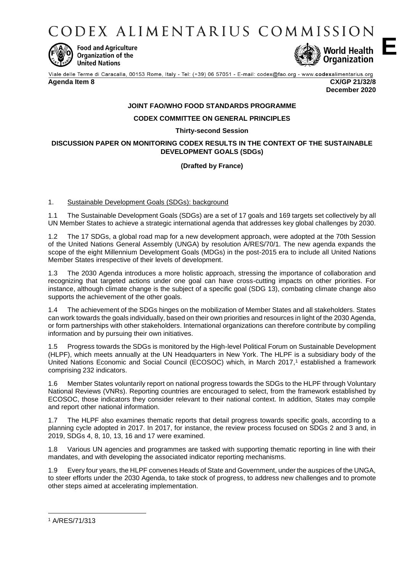CODEX ALIMENTARIUS COMMISSION



**Food and Agriculture Organization of the United Nations** 



Viale delle Terme di Caracalla, 00153 Rome, Italy - Tel: (+39) 06 57051 - E-mail: codex@fao.org - www.codexalimentarius.org **Agenda Item 8 CX/GP 21/32/8**

**December 2020**

**E**

# **JOINT FAO/WHO FOOD STANDARDS PROGRAMME**

## **CODEX COMMITTEE ON GENERAL PRINCIPLES**

## **Thirty-second Session**

## **DISCUSSION PAPER ON MONITORING CODEX RESULTS IN THE CONTEXT OF THE SUSTAINABLE DEVELOPMENT GOALS (SDGs)**

# **(Drafted by France)**

## 1. Sustainable Development Goals (SDGs): background

1.1 The Sustainable Development Goals (SDGs) are a set of 17 goals and 169 targets set collectively by all UN Member States to achieve a strategic international agenda that addresses key global challenges by 2030.

1.2 The 17 SDGs, a global road map for a new development approach, were adopted at the 70th Session of the United Nations General Assembly (UNGA) by resolution A/RES/70/1. The new agenda expands the scope of the eight Millennium Development Goals (MDGs) in the post-2015 era to include all United Nations Member States irrespective of their levels of development.

1.3 The 2030 Agenda introduces a more holistic approach, stressing the importance of collaboration and recognizing that targeted actions under one goal can have cross-cutting impacts on other priorities. For instance, although climate change is the subject of a specific goal (SDG 13), combating climate change also supports the achievement of the other goals.

1.4 The achievement of the SDGs hinges on the mobilization of Member States and all stakeholders. States can work towards the goals individually, based on their own priorities and resources in light of the 2030 Agenda, or form partnerships with other stakeholders. International organizations can therefore contribute by compiling information and by pursuing their own initiatives.

1.5 Progress towards the SDGs is monitored by the High-level Political Forum on Sustainable Development (HLPF), which meets annually at the UN Headquarters in New York. The HLPF is a subsidiary body of the United Nations Economic and Social Council (ECOSOC) which, in March 2017,<sup>1</sup> established a framework comprising 232 indicators.

1.6 Member States voluntarily report on national progress towards the SDGs to the HLPF through Voluntary National Reviews (VNRs). Reporting countries are encouraged to select, from the framework established by ECOSOC, those indicators they consider relevant to their national context. In addition, States may compile and report other national information.

1.7 The HLPF also examines thematic reports that detail progress towards specific goals, according to a planning cycle adopted in 2017. In 2017, for instance, the review process focused on SDGs 2 and 3 and, in 2019, SDGs 4, 8, 10, 13, 16 and 17 were examined.

1.8 Various UN agencies and programmes are tasked with supporting thematic reporting in line with their mandates, and with developing the associated indicator reporting mechanisms.

1.9 Every four years, the HLPF convenes Heads of State and Government, under the auspices of the UNGA, to steer efforts under the 2030 Agenda, to take stock of progress, to address new challenges and to promote other steps aimed at accelerating implementation.

**.** 

<sup>1</sup> A/RES/71/313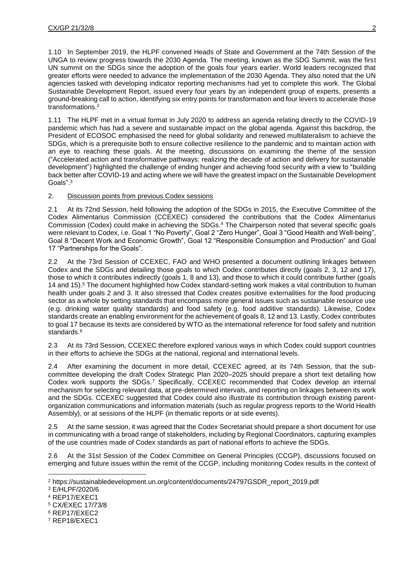1.10 In September 2019, the HLPF convened Heads of State and Government at the 74th Session of the UNGA to review progress towards the 2030 Agenda. The meeting, known as the SDG Summit, was the first UN summit on the SDGs since the adoption of the goals four years earlier. World leaders recognized that greater efforts were needed to advance the implementation of the 2030 Agenda. They also noted that the UN agencies tasked with developing indicator reporting mechanisms had yet to complete this work. The Global Sustainable Development Report, issued every four years by an independent group of experts, presents a ground-breaking call to action, identifying six entry points for transformation and four levers to accelerate those transformations.<sup>2</sup>

1.11 The HLPF met in a virtual format in July 2020 to address an agenda relating directly to the COVID-19 pandemic which has had a severe and sustainable impact on the global agenda. Against this backdrop, the President of ECOSOC emphasised the need for global solidarity and renewed multilateralism to achieve the SDGs, which is a prerequisite both to ensure collective resilience to the pandemic and to maintain action with an eye to reaching these goals. At the meeting, discussions on examining the theme of the session ("Accelerated action and transformative pathways: realizing the decade of action and delivery for sustainable development") highlighted the challenge of ending hunger and achieving food security with a view to "building back better after COVID-19 and acting where we will have the greatest impact on the Sustainable Development Goals".<sup>3</sup>

## 2. Discussion points from previous Codex sessions

2.1 At its 72nd Session, held following the adoption of the SDGs in 2015, the Executive Committee of the Codex Alimentarius Commission (CCEXEC) considered the contributions that the Codex Alimentarius Commission (Codex) could make in achieving the SDGs.<sup>4</sup> The Chairperson noted that several specific goals were relevant to Codex, i.e. Goal 1 "No Poverty", Goal 2 "Zero Hunger", Goal 3 "Good Health and Well-being", Goal 8 "Decent Work and Economic Growth", Goal 12 "Responsible Consumption and Production" and Goal 17 "Partnerships for the Goals".

2.2 At the 73rd Session of CCEXEC, FAO and WHO presented a document outlining linkages between Codex and the SDGs and detailing those goals to which Codex contributes directly (goals 2, 3, 12 and 17), those to which it contributes indirectly (goals 1, 8 and 13), and those to which it could contribute further (goals 14 and 15).<sup>5</sup> The document highlighted how Codex standard-setting work makes a vital contribution to human health under goals 2 and 3. It also stressed that Codex creates positive externalities for the food producing sector as a whole by setting standards that encompass more general issues such as sustainable resource use (e.g. drinking water quality standards) and food safety (e.g. food additive standards). Likewise, Codex standards create an enabling environment for the achievement of goals 8, 12 and 13. Lastly, Codex contributes to goal 17 because its texts are considered by WTO as the international reference for food safety and nutrition standards.<sup>6</sup>

2.3 At its 73rd Session, CCEXEC therefore explored various ways in which Codex could support countries in their efforts to achieve the SDGs at the national, regional and international levels.

2.4 After examining the document in more detail, CCEXEC agreed, at its 74th Session, that the subcommittee developing the draft Codex Strategic Plan 2020–2025 should prepare a short text detailing how Codex work supports the SDGs.<sup>7</sup> Specifically, CCEXEC recommended that Codex develop an internal mechanism for selecting relevant data, at pre-determined intervals, and reporting on linkages between its work and the SDGs. CCEXEC suggested that Codex could also illustrate its contribution through existing parentorganization communications and information materials (such as regular progress reports to the World Health Assembly), or at sessions of the HLPF (in thematic reports or at side events).

2.5 At the same session, it was agreed that the Codex Secretariat should prepare a short document for use in communicating with a broad range of stakeholders, including by Regional Coordinators, capturing examples of the use countries made of Codex standards as part of national efforts to achieve the SDGs.

2.6 At the 31st Session of the Codex Committee on General Principles (CCGP), discussions focused on emerging and future issues within the remit of the CCGP, including monitoring Codex results in the context of

 $\overline{a}$ 

<sup>2</sup> https://sustainabledevelopment.un.org/content/documents/24797GSDR\_report\_2019.pdf

<sup>3</sup> E/HLPF/2020/6

<sup>4</sup> REP17/EXEC1

<sup>5</sup> CX/EXEC 17/73/8

<sup>6</sup> REP17/EXEC2

<sup>7</sup> REP18/EXEC1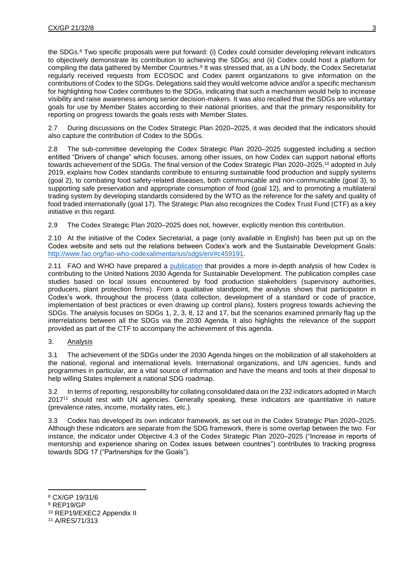the SDGs.<sup>8</sup> Two specific proposals were put forward: (i) Codex could consider developing relevant indicators to objectively demonstrate its contribution to achieving the SDGs; and (ii) Codex could host a platform for compiling the data gathered by Member Countries.<sup>9</sup> It was stressed that, as a UN body, the Codex Secretariat regularly received requests from ECOSOC and Codex parent organizations to give information on the contributions of Codex to the SDGs. Delegations said they would welcome advice and/or a specific mechanism for highlighting how Codex contributes to the SDGs, indicating that such a mechanism would help to increase visibility and raise awareness among senior decision-makers. It was also recalled that the SDGs are voluntary goals for use by Member States according to their national priorities, and that the primary responsibility for reporting on progress towards the goals rests with Member States.

2.7 During discussions on the Codex Strategic Plan 2020–2025, it was decided that the indicators should also capture the contribution of Codex to the SDGs.

2.8 The sub-committee developing the Codex Strategic Plan 2020–2025 suggested including a section entitled "Drivers of change" which focuses, among other issues, on how Codex can support national efforts towards achievement of the SDGs. The final version of the Codex Strategic Plan 2020–2025, <sup>10</sup> adopted in July 2019, explains how Codex standards contribute to ensuring sustainable food production and supply systems (goal 2), to combating food safety-related diseases, both communicable and non-communicable (goal 3), to supporting safe preservation and appropriate consumption of food (goal 12), and to promoting a multilateral trading system by developing standards considered by the WTO as the reference for the safety and quality of food traded internationally (goal 17). The Strategic Plan also recognizes the Codex Trust Fund (CTF) as a key initiative in this regard.

2.9 The Codex Strategic Plan 2020–2025 does not, however, explicitly mention this contribution.

2.10 At the initiative of the Codex Secretariat, a page (only available in English) has been put up on the Codex website and sets out the relations between Codex's work and the Sustainable Development Goals: [http://www.fao.org/fao-who-codexalimentarius/sdgs/en/#c459191.](http://www.fao.org/fao-who-codexalimentarius/sdgs/en/#c459191)

2.11 FAO and WHO have prepared a [publication](http://www.fao.org/3/cb0222en/cb0222en.pdf) that provides a more in-depth analysis of how Codex is contributing to the United Nations 2030 Agenda for Sustainable Development. The publication compiles case studies based on local issues encountered by food production stakeholders (supervisory authorities, producers, plant protection firms). From a qualitative standpoint, the analysis shows that participation in Codex's work, throughout the process (data collection, development of a standard or code of practice, implementation of best practices or even drawing up control plans), fosters progress towards achieving the SDGs. The analysis focuses on SDGs 1, 2, 3, 8, 12 and 17, but the scenarios examined primarily flag up the interrelations between all the SDGs via the 2030 Agenda. It also highlights the relevance of the support provided as part of the CTF to accompany the achievement of this agenda.

## 3. Analysis

3.1 The achievement of the SDGs under the 2030 Agenda hinges on the mobilization of all stakeholders at the national, regional and international levels. International organizations, and UN agencies, funds and programmes in particular, are a vital source of information and have the means and tools at their disposal to help willing States implement a national SDG roadmap.

In terms of reporting, responsibility for collating consolidated data on the 232 indicators adopted in March 2017<sup>11</sup> should rest with UN agencies. Generally speaking, these indicators are quantitative in nature (prevalence rates, income, mortality rates, etc.).

3.3 Codex has developed its own indicator framework, as set out in the Codex Strategic Plan 2020–2025. Although these indicators are separate from the SDG framework, there is some overlap between the two. For instance, the indicator under Objective 4.3 of the Codex Strategic Plan 2020–2025 ("Increase in reports of mentorship and experience sharing on Codex issues between countries") contributes to tracking progress towards SDG 17 ("Partnerships for the Goals").

**.** <sup>8</sup> CX/GP 19/31/6

<sup>9</sup> REP19/GP

<sup>10</sup> REP19/EXEC2 Appendix II

<sup>11</sup> A/RES/71/313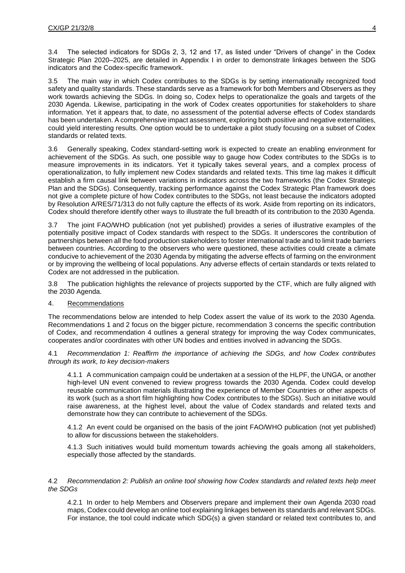3.4 The selected indicators for SDGs 2, 3, 12 and 17, as listed under "Drivers of change" in the Codex Strategic Plan 2020–2025, are detailed in Appendix I in order to demonstrate linkages between the SDG indicators and the Codex-specific framework.

3.5 The main way in which Codex contributes to the SDGs is by setting internationally recognized food safety and quality standards. These standards serve as a framework for both Members and Observers as they work towards achieving the SDGs. In doing so, Codex helps to operationalize the goals and targets of the 2030 Agenda. Likewise, participating in the work of Codex creates opportunities for stakeholders to share information. Yet it appears that, to date, no assessment of the potential adverse effects of Codex standards has been undertaken. A comprehensive impact assessment, exploring both positive and negative externalities, could yield interesting results. One option would be to undertake a pilot study focusing on a subset of Codex standards or related texts.

3.6 Generally speaking, Codex standard-setting work is expected to create an enabling environment for achievement of the SDGs. As such, one possible way to gauge how Codex contributes to the SDGs is to measure improvements in its indicators. Yet it typically takes several years, and a complex process of operationalization, to fully implement new Codex standards and related texts. This time lag makes it difficult establish a firm causal link between variations in indicators across the two frameworks (the Codex Strategic Plan and the SDGs). Consequently, tracking performance against the Codex Strategic Plan framework does not give a complete picture of how Codex contributes to the SDGs, not least because the indicators adopted by Resolution A/RES/71/313 do not fully capture the effects of its work. Aside from reporting on its indicators, Codex should therefore identify other ways to illustrate the full breadth of its contribution to the 2030 Agenda.

3.7 The joint FAO/WHO publication (not yet published) provides a series of illustrative examples of the potentially positive impact of Codex standards with respect to the SDGs. It underscores the contribution of partnerships between all the food production stakeholders to foster international trade and to limit trade barriers between countries. According to the observers who were questioned, these activities could create a climate conducive to achievement of the 2030 Agenda by mitigating the adverse effects of farming on the environment or by improving the wellbeing of local populations. Any adverse effects of certain standards or texts related to Codex are not addressed in the publication.

3.8 The publication highlights the relevance of projects supported by the CTF, which are fully aligned with the 2030 Agenda.

## 4. Recommendations

The recommendations below are intended to help Codex assert the value of its work to the 2030 Agenda. Recommendations 1 and 2 focus on the bigger picture, recommendation 3 concerns the specific contribution of Codex, and recommendation 4 outlines a general strategy for improving the way Codex communicates, cooperates and/or coordinates with other UN bodies and entities involved in advancing the SDGs.

4.1 *Recommendation 1: Reaffirm the importance of achieving the SDGs, and how Codex contributes through its work, to key decision-makers* 

4.1.1 A communication campaign could be undertaken at a session of the HLPF, the UNGA, or another high-level UN event convened to review progress towards the 2030 Agenda. Codex could develop reusable communication materials illustrating the experience of Member Countries or other aspects of its work (such as a short film highlighting how Codex contributes to the SDGs). Such an initiative would raise awareness, at the highest level, about the value of Codex standards and related texts and demonstrate how they can contribute to achievement of the SDGs.

4.1.2 An event could be organised on the basis of the joint FAO/WHO publication (not yet published) to allow for discussions between the stakeholders.

4.1.3 Such initiatives would build momentum towards achieving the goals among all stakeholders, especially those affected by the standards.

## 4.2 *Recommendation 2: Publish an online tool showing how Codex standards and related texts help meet the SDGs*

4.2.1 In order to help Members and Observers prepare and implement their own Agenda 2030 road maps, Codex could develop an online tool explaining linkages between its standards and relevant SDGs. For instance, the tool could indicate which SDG(s) a given standard or related text contributes to, and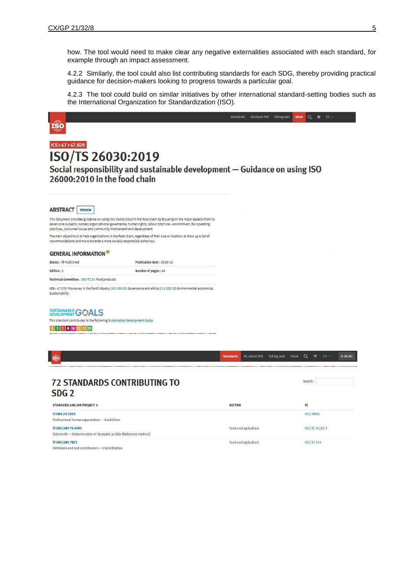how. The tool would need to make clear any negative externalities associated with each standard, for example through an impact assessment.

4.2.2 Similarly, the tool could also list contributing standards for each SDG, thereby providing practical guidance for decision-makers looking to progress towards a particular goal.

4.2.3 The tool could build on similar initiatives by other international standard-setting bodies such as the International Organization for Standardization (ISO).

|  |  |  | Social responsibility and sustainable development - Guidance on using ISO |
|--|--|--|---------------------------------------------------------------------------|

| <b>72 STANDARDS CONTRIBUTING TO</b> |  |
|-------------------------------------|--|
| SDG <sub>2</sub>                    |  |

| STANDARD AND/OR PROJECT +                                                                | <b>SECTOR</b>        | TC               |
|------------------------------------------------------------------------------------------|----------------------|------------------|
| ◎ IWA 29:2019<br>Professional farmer organization - Guidelines                           |                      | ISO/TMBG         |
| © ISO/AWI TS 6091<br>Dried milk - Determination of titratable acidity (Reference method) | Food and agriculture | ISO/TC 34/SC 5   |
| © ISO/AWI 7851<br>Fertilizers and soil conditioners - Classification                     | Food and agriculture | <b>ISO/TC134</b> |

 $Search:$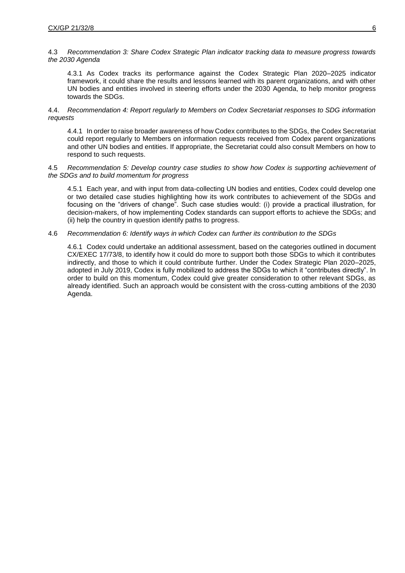## 4.3 *Recommendation 3: Share Codex Strategic Plan indicator tracking data to measure progress towards the 2030 Agenda*

4.3.1 As Codex tracks its performance against the Codex Strategic Plan 2020–2025 indicator framework, it could share the results and lessons learned with its parent organizations, and with other UN bodies and entities involved in steering efforts under the 2030 Agenda, to help monitor progress towards the SDGs.

## 4.4. *Recommendation 4: Report regularly to Members on Codex Secretariat responses to SDG information requests*

4.4.1 In order to raise broader awareness of how Codex contributes to the SDGs, the Codex Secretariat could report regularly to Members on information requests received from Codex parent organizations and other UN bodies and entities. If appropriate, the Secretariat could also consult Members on how to respond to such requests.

## 4.5 *Recommendation 5: Develop country case studies to show how Codex is supporting achievement of the SDGs and to build momentum for progress*

4.5.1 Each year, and with input from data-collecting UN bodies and entities, Codex could develop one or two detailed case studies highlighting how its work contributes to achievement of the SDGs and focusing on the "drivers of change". Such case studies would: (i) provide a practical illustration, for decision-makers, of how implementing Codex standards can support efforts to achieve the SDGs; and (ii) help the country in question identify paths to progress.

## 4.6 *Recommendation 6: Identify ways in which Codex can further its contribution to the SDGs*

4.6.1 Codex could undertake an additional assessment, based on the categories outlined in document CX/EXEC 17/73/8, to identify how it could do more to support both those SDGs to which it contributes indirectly, and those to which it could contribute further. Under the Codex Strategic Plan 2020–2025, adopted in July 2019, Codex is fully mobilized to address the SDGs to which it "contributes directly". In order to build on this momentum, Codex could give greater consideration to other relevant SDGs, as already identified. Such an approach would be consistent with the cross-cutting ambitions of the 2030 Agenda.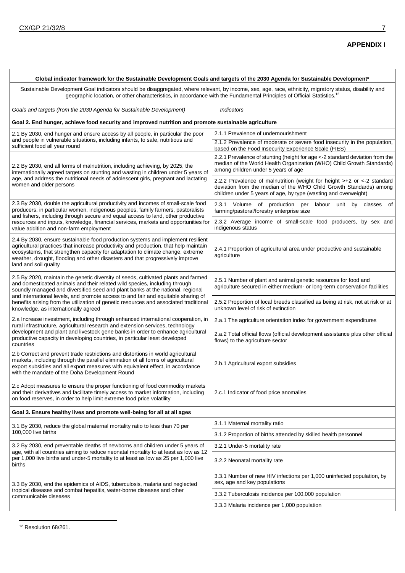| Global indicator framework for the Sustainable Development Goals and targets of the 2030 Agenda for Sustainable Development*                                                                                                                                                                                                                                                                                                                                             |                                                                                                                                                                                                                   |  |  |  |
|--------------------------------------------------------------------------------------------------------------------------------------------------------------------------------------------------------------------------------------------------------------------------------------------------------------------------------------------------------------------------------------------------------------------------------------------------------------------------|-------------------------------------------------------------------------------------------------------------------------------------------------------------------------------------------------------------------|--|--|--|
| Sustainable Development Goal indicators should be disaggregated, where relevant, by income, sex, age, race, ethnicity, migratory status, disability and<br>geographic location, or other characteristics, in accordance with the Fundamental Principles of Official Statistics. <sup>12</sup>                                                                                                                                                                            |                                                                                                                                                                                                                   |  |  |  |
| Goals and targets (from the 2030 Agenda for Sustainable Development)                                                                                                                                                                                                                                                                                                                                                                                                     | <i><b>Indicators</b></i>                                                                                                                                                                                          |  |  |  |
| Goal 2. End hunger, achieve food security and improved nutrition and promote sustainable agriculture                                                                                                                                                                                                                                                                                                                                                                     |                                                                                                                                                                                                                   |  |  |  |
| 2.1 By 2030, end hunger and ensure access by all people, in particular the poor                                                                                                                                                                                                                                                                                                                                                                                          | 2.1.1 Prevalence of undernourishment                                                                                                                                                                              |  |  |  |
| and people in vulnerable situations, including infants, to safe, nutritious and<br>sufficient food all year round                                                                                                                                                                                                                                                                                                                                                        | 2.1.2 Prevalence of moderate or severe food insecurity in the population,<br>based on the Food Insecurity Experience Scale (FIES)                                                                                 |  |  |  |
| 2.2 By 2030, end all forms of malnutrition, including achieving, by 2025, the<br>internationally agreed targets on stunting and wasting in children under 5 years of<br>age, and address the nutritional needs of adolescent girls, pregnant and lactating<br>women and older persons                                                                                                                                                                                    | 2.2.1 Prevalence of stunting (height for age <- 2 standard deviation from the<br>median of the World Health Organization (WHO) Child Growth Standards)<br>among children under 5 years of age                     |  |  |  |
|                                                                                                                                                                                                                                                                                                                                                                                                                                                                          | 2.2.2 Prevalence of malnutrition (weight for height >+2 or <- 2 standard<br>deviation from the median of the WHO Child Growth Standards) among<br>children under 5 years of age, by type (wasting and overweight) |  |  |  |
| 2.3 By 2030, double the agricultural productivity and incomes of small-scale food<br>producers, in particular women, indigenous peoples, family farmers, pastoralists<br>and fishers, including through secure and equal access to land, other productive<br>resources and inputs, knowledge, financial services, markets and opportunities for<br>value addition and non-farm employment                                                                                | 2.3.1 Volume of production per<br>labour unit by<br>classes of<br>farming/pastoral/forestry enterprise size                                                                                                       |  |  |  |
|                                                                                                                                                                                                                                                                                                                                                                                                                                                                          | 2.3.2 Average income of small-scale food producers, by sex and<br>indigenous status                                                                                                                               |  |  |  |
| 2.4 By 2030, ensure sustainable food production systems and implement resilient<br>agricultural practices that increase productivity and production, that help maintain<br>ecosystems, that strengthen capacity for adaptation to climate change, extreme<br>weather, drought, flooding and other disasters and that progressively improve<br>land and soil quality                                                                                                      | 2.4.1 Proportion of agricultural area under productive and sustainable<br>agriculture                                                                                                                             |  |  |  |
| 2.5 By 2020, maintain the genetic diversity of seeds, cultivated plants and farmed<br>and domesticated animals and their related wild species, including through<br>soundly managed and diversified seed and plant banks at the national, regional<br>and international levels, and promote access to and fair and equitable sharing of<br>benefits arising from the utilization of genetic resources and associated traditional<br>knowledge, as internationally agreed | 2.5.1 Number of plant and animal genetic resources for food and<br>agriculture secured in either medium- or long-term conservation facilities                                                                     |  |  |  |
|                                                                                                                                                                                                                                                                                                                                                                                                                                                                          | 2.5.2 Proportion of local breeds classified as being at risk, not at risk or at<br>unknown level of risk of extinction                                                                                            |  |  |  |
| 2.a Increase investment, including through enhanced international cooperation, in                                                                                                                                                                                                                                                                                                                                                                                        | 2.a.1 The agriculture orientation index for government expenditures                                                                                                                                               |  |  |  |
| rural infrastructure, agricultural research and extension services, technology<br>development and plant and livestock gene banks in order to enhance agricultural<br>productive capacity in developing countries, in particular least developed<br>countries                                                                                                                                                                                                             | 2.a.2 Total official flows (official development assistance plus other official<br>flows) to the agriculture sector                                                                                               |  |  |  |
| 2.b Correct and prevent trade restrictions and distortions in world agricultural<br>markets, including through the parallel elimination of all forms of agricultural<br>export subsidies and all export measures with equivalent effect, in accordance<br>with the mandate of the Doha Development Round                                                                                                                                                                 | 2.b.1 Agricultural export subsidies                                                                                                                                                                               |  |  |  |
| 2.c Adopt measures to ensure the proper functioning of food commodity markets<br>and their derivatives and facilitate timely access to market information, including<br>on food reserves, in order to help limit extreme food price volatility                                                                                                                                                                                                                           | 2.c.1 Indicator of food price anomalies                                                                                                                                                                           |  |  |  |
| Goal 3. Ensure healthy lives and promote well-being for all at all ages                                                                                                                                                                                                                                                                                                                                                                                                  |                                                                                                                                                                                                                   |  |  |  |
| 3.1 By 2030, reduce the global maternal mortality ratio to less than 70 per                                                                                                                                                                                                                                                                                                                                                                                              | 3.1.1 Maternal mortality ratio                                                                                                                                                                                    |  |  |  |
| 100,000 live births                                                                                                                                                                                                                                                                                                                                                                                                                                                      | 3.1.2 Proportion of births attended by skilled health personnel                                                                                                                                                   |  |  |  |
| 3.2 By 2030, end preventable deaths of newborns and children under 5 years of<br>age, with all countries aiming to reduce neonatal mortality to at least as low as 12<br>per 1,000 live births and under-5 mortality to at least as low as 25 per 1,000 live<br>births                                                                                                                                                                                                   | 3.2.1 Under-5 mortality rate                                                                                                                                                                                      |  |  |  |
|                                                                                                                                                                                                                                                                                                                                                                                                                                                                          | 3.2.2 Neonatal mortality rate                                                                                                                                                                                     |  |  |  |
| 3.3 By 2030, end the epidemics of AIDS, tuberculosis, malaria and neglected                                                                                                                                                                                                                                                                                                                                                                                              | 3.3.1 Number of new HIV infections per 1,000 uninfected population, by<br>sex, age and key populations                                                                                                            |  |  |  |
| tropical diseases and combat hepatitis, water-borne diseases and other<br>communicable diseases                                                                                                                                                                                                                                                                                                                                                                          | 3.3.2 Tuberculosis incidence per 100,000 population                                                                                                                                                               |  |  |  |
|                                                                                                                                                                                                                                                                                                                                                                                                                                                                          | 3.3.3 Malaria incidence per 1,000 population                                                                                                                                                                      |  |  |  |

 $\overline{a}$ <sup>12</sup> Resolution 68/261.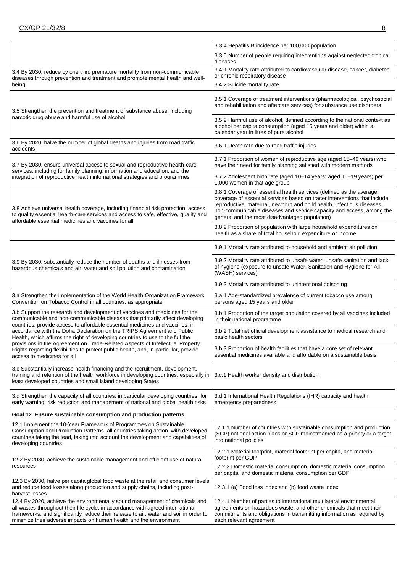|                                                                                                                                                                                                                                                                                                                               | 3.3.4 Hepatitis B incidence per 100,000 population                                                                                                                                                                                                                                                                                                   |  |  |  |
|-------------------------------------------------------------------------------------------------------------------------------------------------------------------------------------------------------------------------------------------------------------------------------------------------------------------------------|------------------------------------------------------------------------------------------------------------------------------------------------------------------------------------------------------------------------------------------------------------------------------------------------------------------------------------------------------|--|--|--|
|                                                                                                                                                                                                                                                                                                                               | 3.3.5 Number of people requiring interventions against neglected tropical<br>diseases                                                                                                                                                                                                                                                                |  |  |  |
| 3.4 By 2030, reduce by one third premature mortality from non-communicable                                                                                                                                                                                                                                                    | 3.4.1 Mortality rate attributed to cardiovascular disease, cancer, diabetes<br>or chronic respiratory disease                                                                                                                                                                                                                                        |  |  |  |
| diseases through prevention and treatment and promote mental health and well-<br>being                                                                                                                                                                                                                                        | 3.4.2 Suicide mortality rate                                                                                                                                                                                                                                                                                                                         |  |  |  |
| 3.5 Strengthen the prevention and treatment of substance abuse, including                                                                                                                                                                                                                                                     | 3.5.1 Coverage of treatment interventions (pharmacological, psychosocial<br>and rehabilitation and aftercare services) for substance use disorders                                                                                                                                                                                                   |  |  |  |
| narcotic drug abuse and harmful use of alcohol                                                                                                                                                                                                                                                                                | 3.5.2 Harmful use of alcohol, defined according to the national context as<br>alcohol per capita consumption (aged 15 years and older) within a<br>calendar year in litres of pure alcohol                                                                                                                                                           |  |  |  |
| 3.6 By 2020, halve the number of global deaths and injuries from road traffic<br>accidents                                                                                                                                                                                                                                    | 3.6.1 Death rate due to road traffic injuries                                                                                                                                                                                                                                                                                                        |  |  |  |
| 3.7 By 2030, ensure universal access to sexual and reproductive health-care                                                                                                                                                                                                                                                   | 3.7.1 Proportion of women of reproductive age (aged 15-49 years) who<br>have their need for family planning satisfied with modern methods                                                                                                                                                                                                            |  |  |  |
| services, including for family planning, information and education, and the<br>integration of reproductive health into national strategies and programmes                                                                                                                                                                     | 3.7.2 Adolescent birth rate (aged 10-14 years; aged 15-19 years) per<br>1,000 women in that age group                                                                                                                                                                                                                                                |  |  |  |
| 3.8 Achieve universal health coverage, including financial risk protection, access<br>to quality essential health-care services and access to safe, effective, quality and                                                                                                                                                    | 3.8.1 Coverage of essential health services (defined as the average<br>coverage of essential services based on tracer interventions that include<br>reproductive, maternal, newborn and child health, infectious diseases,<br>non-communicable diseases and service capacity and access, among the<br>general and the most disadvantaged population) |  |  |  |
| affordable essential medicines and vaccines for all                                                                                                                                                                                                                                                                           | 3.8.2 Proportion of population with large household expenditures on<br>health as a share of total household expenditure or income                                                                                                                                                                                                                    |  |  |  |
| 3.9 By 2030, substantially reduce the number of deaths and illnesses from<br>hazardous chemicals and air, water and soil pollution and contamination                                                                                                                                                                          | 3.9.1 Mortality rate attributed to household and ambient air pollution                                                                                                                                                                                                                                                                               |  |  |  |
|                                                                                                                                                                                                                                                                                                                               | 3.9.2 Mortality rate attributed to unsafe water, unsafe sanitation and lack<br>of hygiene (exposure to unsafe Water, Sanitation and Hygiene for All<br>(WASH) services)                                                                                                                                                                              |  |  |  |
|                                                                                                                                                                                                                                                                                                                               | 3.9.3 Mortality rate attributed to unintentional poisoning                                                                                                                                                                                                                                                                                           |  |  |  |
| 3.a Strengthen the implementation of the World Health Organization Framework<br>Convention on Tobacco Control in all countries, as appropriate                                                                                                                                                                                | 3.a.1 Age-standardized prevalence of current tobacco use among<br>persons aged 15 years and older                                                                                                                                                                                                                                                    |  |  |  |
| 3.b Support the research and development of vaccines and medicines for the<br>communicable and non-communicable diseases that primarily affect developing<br>countries, provide access to affordable essential medicines and vaccines, in                                                                                     | 3.b.1 Proportion of the target population covered by all vaccines included<br>in their national programme                                                                                                                                                                                                                                            |  |  |  |
| accordance with the Doha Declaration on the TRIPS Agreement and Public<br>Health, which affirms the right of developing countries to use to the full the                                                                                                                                                                      | 3.b.2 Total net official development assistance to medical research and<br>basic health sectors                                                                                                                                                                                                                                                      |  |  |  |
| provisions in the Agreement on Trade-Related Aspects of Intellectual Property<br>Rights regarding flexibilities to protect public health, and, in particular, provide<br>access to medicines for all                                                                                                                          | 3.b.3 Proportion of health facilities that have a core set of relevant<br>essential medicines available and affordable on a sustainable basis                                                                                                                                                                                                        |  |  |  |
| 3.c Substantially increase health financing and the recruitment, development,<br>training and retention of the health workforce in developing countries, especially in<br>least developed countries and small island developing States                                                                                        | 3.c.1 Health worker density and distribution                                                                                                                                                                                                                                                                                                         |  |  |  |
| 3.d Strengthen the capacity of all countries, in particular developing countries, for<br>early warning, risk reduction and management of national and global health risks                                                                                                                                                     | 3.d.1 International Health Regulations (IHR) capacity and health<br>emergency preparedness                                                                                                                                                                                                                                                           |  |  |  |
| Goal 12. Ensure sustainable consumption and production patterns                                                                                                                                                                                                                                                               |                                                                                                                                                                                                                                                                                                                                                      |  |  |  |
| 12.1 Implement the 10-Year Framework of Programmes on Sustainable<br>Consumption and Production Patterns, all countries taking action, with developed<br>countries taking the lead, taking into account the development and capabilities of<br>developing countries                                                           | 12.1.1 Number of countries with sustainable consumption and production<br>(SCP) national action plans or SCP mainstreamed as a priority or a target<br>into national policies                                                                                                                                                                        |  |  |  |
| 12.2 By 2030, achieve the sustainable management and efficient use of natural                                                                                                                                                                                                                                                 | 12.2.1 Material footprint, material footprint per capita, and material<br>footprint per GDP                                                                                                                                                                                                                                                          |  |  |  |
| resources                                                                                                                                                                                                                                                                                                                     | 12.2.2 Domestic material consumption, domestic material consumption<br>per capita, and domestic material consumption per GDP                                                                                                                                                                                                                         |  |  |  |
| 12.3 By 2030, halve per capita global food waste at the retail and consumer levels<br>and reduce food losses along production and supply chains, including post-<br>harvest losses                                                                                                                                            | 12.3.1 (a) Food loss index and (b) food waste index                                                                                                                                                                                                                                                                                                  |  |  |  |
| 12.4 By 2020, achieve the environmentally sound management of chemicals and<br>all wastes throughout their life cycle, in accordance with agreed international<br>frameworks, and significantly reduce their release to air, water and soil in order to<br>minimize their adverse impacts on human health and the environment | 12.4.1 Number of parties to international multilateral environmental<br>agreements on hazardous waste, and other chemicals that meet their<br>commitments and obligations in transmitting information as required by<br>each relevant agreement                                                                                                      |  |  |  |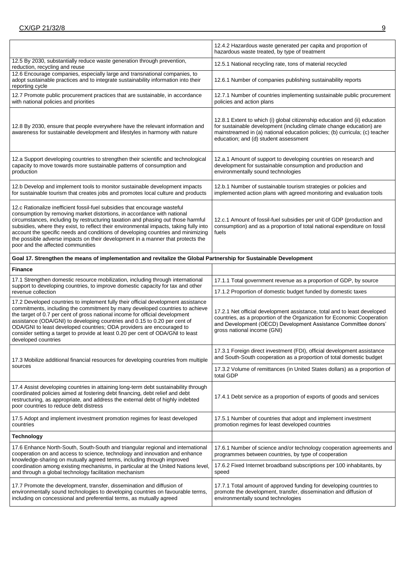|                                                                                                                                                                                                                                                                                                                                                                                                                                                                                                                                                 | 12.4.2 Hazardous waste generated per capita and proportion of<br>hazardous waste treated, by type of treatment                                                                                                                                                             |  |  |  |
|-------------------------------------------------------------------------------------------------------------------------------------------------------------------------------------------------------------------------------------------------------------------------------------------------------------------------------------------------------------------------------------------------------------------------------------------------------------------------------------------------------------------------------------------------|----------------------------------------------------------------------------------------------------------------------------------------------------------------------------------------------------------------------------------------------------------------------------|--|--|--|
| 12.5 By 2030, substantially reduce waste generation through prevention,<br>reduction, recycling and reuse                                                                                                                                                                                                                                                                                                                                                                                                                                       | 12.5.1 National recycling rate, tons of material recycled                                                                                                                                                                                                                  |  |  |  |
| 12.6 Encourage companies, especially large and transnational companies, to<br>adopt sustainable practices and to integrate sustainability information into their<br>reporting cycle                                                                                                                                                                                                                                                                                                                                                             | 12.6.1 Number of companies publishing sustainability reports                                                                                                                                                                                                               |  |  |  |
| 12.7 Promote public procurement practices that are sustainable, in accordance<br>with national policies and priorities                                                                                                                                                                                                                                                                                                                                                                                                                          | 12.7.1 Number of countries implementing sustainable public procurement<br>policies and action plans                                                                                                                                                                        |  |  |  |
| 12.8 By 2030, ensure that people everywhere have the relevant information and<br>awareness for sustainable development and lifestyles in harmony with nature                                                                                                                                                                                                                                                                                                                                                                                    | 12.8.1 Extent to which (i) global citizenship education and (ii) education<br>for sustainable development (including climate change education) are<br>mainstreamed in (a) national education policies; (b) curricula; (c) teacher<br>education; and (d) student assessment |  |  |  |
| 12.a Support developing countries to strengthen their scientific and technological<br>capacity to move towards more sustainable patterns of consumption and<br>production                                                                                                                                                                                                                                                                                                                                                                       | 12.a.1 Amount of support to developing countries on research and<br>development for sustainable consumption and production and<br>environmentally sound technologies                                                                                                       |  |  |  |
| 12.b Develop and implement tools to monitor sustainable development impacts<br>for sustainable tourism that creates jobs and promotes local culture and products                                                                                                                                                                                                                                                                                                                                                                                | 12.b.1 Number of sustainable tourism strategies or policies and<br>implemented action plans with agreed monitoring and evaluation tools                                                                                                                                    |  |  |  |
| 12.c Rationalize inefficient fossil-fuel subsidies that encourage wasteful<br>consumption by removing market distortions, in accordance with national<br>circumstances, including by restructuring taxation and phasing out those harmful<br>subsidies, where they exist, to reflect their environmental impacts, taking fully into<br>account the specific needs and conditions of developing countries and minimizing<br>the possible adverse impacts on their development in a manner that protects the<br>poor and the affected communities | 12.c.1 Amount of fossil-fuel subsidies per unit of GDP (production and<br>consumption) and as a proportion of total national expenditure on fossil<br>fuels                                                                                                                |  |  |  |
| Goal 17. Strengthen the means of implementation and revitalize the Global Partnership for Sustainable Development                                                                                                                                                                                                                                                                                                                                                                                                                               |                                                                                                                                                                                                                                                                            |  |  |  |
| <b>Finance</b>                                                                                                                                                                                                                                                                                                                                                                                                                                                                                                                                  |                                                                                                                                                                                                                                                                            |  |  |  |
| 17.1 Strengthen domestic resource mobilization, including through international<br>support to developing countries, to improve domestic capacity for tax and other                                                                                                                                                                                                                                                                                                                                                                              | 17.1.1 Total government revenue as a proportion of GDP, by source                                                                                                                                                                                                          |  |  |  |
| revenue collection                                                                                                                                                                                                                                                                                                                                                                                                                                                                                                                              | 17.1.2 Proportion of domestic budget funded by domestic taxes                                                                                                                                                                                                              |  |  |  |
| 17.2 Developed countries to implement fully their official development assistance<br>commitments, including the commitment by many developed countries to achieve<br>the target of 0.7 per cent of gross national income for official development<br>assistance (ODA/GNI) to developing countries and 0.15 to 0.20 per cent of<br>ODA/GNI to least developed countries; ODA providers are encouraged to<br>consider setting a target to provide at least 0.20 per cent of ODA/GNI to least<br>developed countries                               | 17.2.1 Net official development assistance, total and to least developed<br>countries, as a proportion of the Organization for Economic Cooperation<br>and Development (OECD) Development Assistance Committee donors'<br>gross national income (GNI)                      |  |  |  |
| 17.3 Mobilize additional financial resources for developing countries from multiple                                                                                                                                                                                                                                                                                                                                                                                                                                                             | 17.3.1 Foreign direct investment (FDI), official development assistance<br>and South-South cooperation as a proportion of total domestic budget                                                                                                                            |  |  |  |
| sources                                                                                                                                                                                                                                                                                                                                                                                                                                                                                                                                         | 17.3.2 Volume of remittances (in United States dollars) as a proportion of<br>total GDP                                                                                                                                                                                    |  |  |  |
| 17.4 Assist developing countries in attaining long-term debt sustainability through<br>coordinated policies aimed at fostering debt financing, debt relief and debt<br>restructuring, as appropriate, and address the external debt of highly indebted<br>poor countries to reduce debt distress                                                                                                                                                                                                                                                | 17.4.1 Debt service as a proportion of exports of goods and services                                                                                                                                                                                                       |  |  |  |
| 17.5 Adopt and implement investment promotion regimes for least developed<br>countries                                                                                                                                                                                                                                                                                                                                                                                                                                                          | 17.5.1 Number of countries that adopt and implement investment<br>promotion regimes for least developed countries                                                                                                                                                          |  |  |  |
| <b>Technology</b>                                                                                                                                                                                                                                                                                                                                                                                                                                                                                                                               |                                                                                                                                                                                                                                                                            |  |  |  |
| 17.6 Enhance North-South, South-South and triangular regional and international<br>cooperation on and access to science, technology and innovation and enhance<br>knowledge-sharing on mutually agreed terms, including through improved                                                                                                                                                                                                                                                                                                        | 17.6.1 Number of science and/or technology cooperation agreements and<br>programmes between countries, by type of cooperation                                                                                                                                              |  |  |  |
| coordination among existing mechanisms, in particular at the United Nations level,<br>and through a global technology facilitation mechanism                                                                                                                                                                                                                                                                                                                                                                                                    | 17.6.2 Fixed Internet broadband subscriptions per 100 inhabitants, by<br>speed                                                                                                                                                                                             |  |  |  |
| 17.7 Promote the development, transfer, dissemination and diffusion of<br>environmentally sound technologies to developing countries on favourable terms,<br>including on concessional and preferential terms, as mutually agreed                                                                                                                                                                                                                                                                                                               | 17.7.1 Total amount of approved funding for developing countries to<br>promote the development, transfer, dissemination and diffusion of<br>environmentally sound technologies                                                                                             |  |  |  |